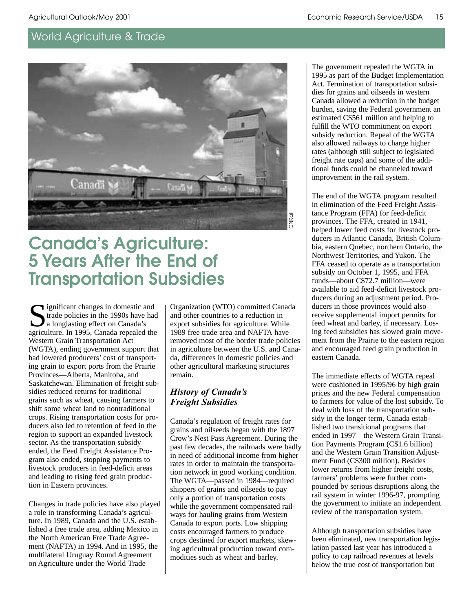

# **Canada's Agriculture: 5 Years After the End of Transportation Subsidies**

significant changes in domestic and trade policies in the 1990s have had a longlasting effect on Canada's agriculture. In 1995, Canada repealed the Western Grain Transportation Act (WGTA), ending government support that had lowered producers' cost of transporting grain to export ports from the Prairie Provinces—Alberta, Manitoba, and Saskatchewan. Elimination of freight subsidies reduced returns for traditional grains such as wheat, causing farmers to shift some wheat land to nontraditional crops. Rising transportation costs for producers also led to retention of feed in the region to support an expanded livestock sector. As the transportation subsidy ended, the Feed Freight Assistance Program also ended, stopping payments to livestock producers in feed-deficit areas and leading to rising feed grain production in Eastern provinces.

Changes in trade policies have also played a role in transforming Canada's agriculture. In 1989, Canada and the U.S. established a free trade area, adding Mexico in the North American Free Trade Agreement (NAFTA) in 1994. And in 1995, the multilateral Uruguay Round Agreement on Agriculture under the World Trade

Organization (WTO) committed Canada and other countries to a reduction in export subsidies for agriculture. While 1989 free trade area and NAFTA have removed most of the border trade policies in agriculture between the U.S. and Canada, differences in domestic policies and other agricultural marketing structures remain.

### *History of Canada's* **Freight Subsidies**

Canada's regulation of freight rates for grains and oilseeds began with the 1897 Crow's Nest Pass Agreement. During the past few decades, the railroads were badly in need of additional income from higher rates in order to maintain the transportation network in good working condition. The WGTA—passed in 1984—required shippers of grains and oilseeds to pay only a portion of transportation costs while the government compensated railways for hauling grains from Western Canada to export ports. Low shipping costs encouraged farmers to produce crops destined for export markets, skewing agricultural production toward commodities such as wheat and barley.

The government repealed the WGTA in 1995 as part of the Budget Implementation Act. Termination of transportation subsidies for grains and oilseeds in western Canada allowed a reduction in the budget burden, saving the Federal government an estimated C\$561 million and helping to fulfill the WTO commitment on export subsidy reduction. Repeal of the WGTA also allowed railways to charge higher rates (although still subject to legislated freight rate caps) and some of the additional funds could be channeled toward improvement in the rail system.

The end of the WGTA program resulted in elimination of the Feed Freight Assistance Program (FFA) for feed-deficit provinces. The FFA, created in 1941, helped lower feed costs for livestock producers in Atlantic Canada, British Columbia, eastern Quebec, northern Ontario, the Northwest Territories, and Yukon. The FFA ceased to operate as a transportation subsidy on October 1, 1995, and FFA funds—about C\$72.7 million—were available to aid feed-deficit livestock producers during an adjustment period. Producers in those provinces would also receive supplemental import permits for feed wheat and barley, if necessary. Losing feed subsidies has slowed grain movement from the Prairie to the eastern region and encouraged feed grain production in eastern Canada.

The immediate effects of WGTA repeal were cushioned in 1995/96 by high grain prices and the new Federal compensation to farmers for value of the lost subsidy. To deal with loss of the transportation subsidy in the longer term, Canada established two transitional programs that ended in 1997—the Western Grain Transition Payments Program (C\$1.6 billion) and the Western Grain Transition Adjustment Fund (C\$300 million). Besides lower returns from higher freight costs, farmers' problems were further compounded by serious disruptions along the rail system in winter 1996-97, prompting the government to initiate an independent review of the transportation system.

Although transportation subsidies have been eliminated, new transportation legislation passed last year has introduced a policy to cap railroad revenues at levels below the true cost of transportation but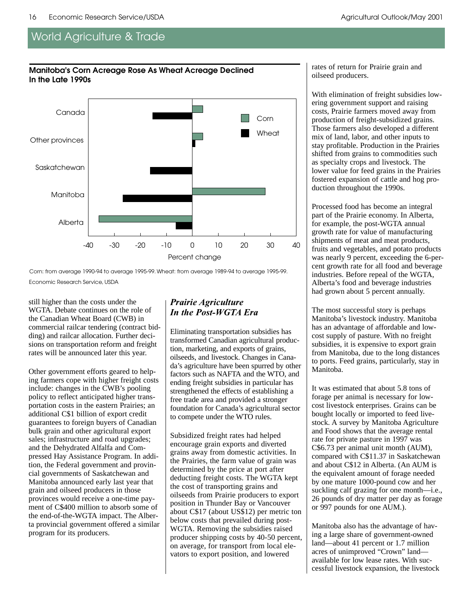#### **Manitoba's Corn Acreage Rose As Wheat Acreage Declined In the Late 1990s**



Corn: from average 1990-94 to average 1995-99. Wheat: from average 1989-94 to average 1995-99. Economic Research Service, USDA

still higher than the costs under the WGTA. Debate continues on the role of the Canadian Wheat Board (CWB) in commercial railcar tendering (contract bidding) and railcar allocation. Further decisions on transportation reform and freight rates will be announced later this year.

Other government efforts geared to helping farmers cope with higher freight costs include: changes in the CWB's pooling policy to reflect anticipated higher transportation costs in the eastern Prairies; an additional C\$1 billion of export credit guarantees to foreign buyers of Canadian bulk grain and other agricultural export sales; infrastructure and road upgrades; and the Dehydrated Alfalfa and Compressed Hay Assistance Program. In addition, the Federal government and provincial governments of Saskatchewan and Manitoba announced early last year that grain and oilseed producers in those provinces would receive a one-time payment of C\$400 million to absorb some of the end-of-the-WGTA impact. The Alberta provincial government offered a similar program for its producers.

### *Prairie Agriculture* In the Post-WGTA Era

Eliminating transportation subsidies has transformed Canadian agricultural production, marketing, and exports of grains, oilseeds, and livestock. Changes in Canada's agriculture have been spurred by other factors such as NAFTA and the WTO, and ending freight subsidies in particular has strengthened the effects of establishing a free trade area and provided a stronger foundation for Canada's agricultural sector to compete under the WTO rules.

Subsidized freight rates had helped encourage grain exports and diverted grains away from domestic activities. In the Prairies, the farm value of grain was determined by the price at port after deducting freight costs. The WGTA kept the cost of transporting grains and oilseeds from Prairie producers to export position in Thunder Bay or Vancouver about C\$17 (about US\$12) per metric ton below costs that prevailed during post-WGTA. Removing the subsidies raised producer shipping costs by 40-50 percent, on average, for transport from local elevators to export position, and lowered

rates of return for Prairie grain and oilseed producers.

With elimination of freight subsidies lowering government support and raising costs, Prairie farmers moved away from production of freight-subsidized grains. Those farmers also developed a different mix of land, labor, and other inputs to stay profitable. Production in the Prairies shifted from grains to commodities such as specialty crops and livestock. The lower value for feed grains in the Prairies fostered expansion of cattle and hog production throughout the 1990s.

Processed food has become an integral part of the Prairie economy. In Alberta, for example, the post-WGTA annual growth rate for value of manufacturing shipments of meat and meat products, fruits and vegetables, and potato products was nearly 9 percent, exceeding the 6-percent growth rate for all food and beverage industries. Before repeal of the WGTA, Alberta's food and beverage industries had grown about 5 percent annually.

The most successful story is perhaps Manitoba's livestock industry. Manitoba has an advantage of affordable and lowcost supply of pasture. With no freight subsidies, it is expensive to export grain from Manitoba, due to the long distances to ports. Feed grains, particularly, stay in Manitoba.

It was estimated that about 5.8 tons of forage per animal is necessary for lowcost livestock enterprises. Grains can be bought locally or imported to feed livestock. A survey by Manitoba Agriculture and Food shows that the average rental rate for private pasture in 1997 was C\$6.73 per animal unit month (AUM), compared with C\$11.37 in Saskatchewan and about C\$12 in Alberta. (An AUM is the equivalent amount of forage needed by one mature 1000-pound cow and her suckling calf grazing for one month—i.e., 26 pounds of dry matter per day as forage or 997 pounds for one AUM.).

Manitoba also has the advantage of having a large share of government-owned land—about 41 percent or 1.7 million acres of unimproved "Crown" land available for low lease rates. With successful livestock expansion, the livestock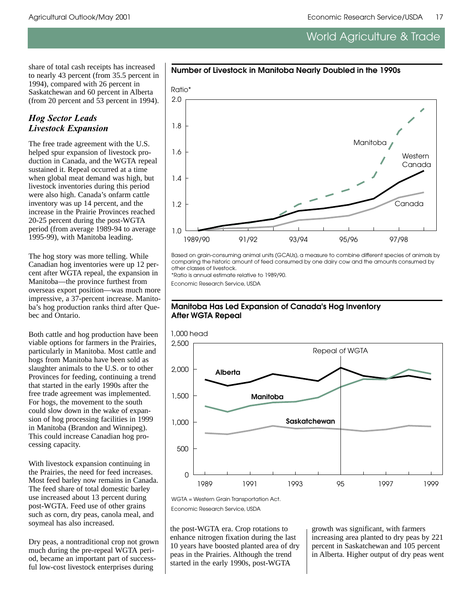share of total cash receipts has increased to nearly 43 percent (from 35.5 percent in 1994), compared with 26 percent in Saskatchewan and 60 percent in Alberta (from 20 percent and 53 percent in 1994).

### **Hog Sector Leads** *Livestock Expansion*

The free trade agreement with the U.S. helped spur expansion of livestock production in Canada, and the WGTA repeal sustained it. Repeal occurred at a time when global meat demand was high, but livestock inventories during this period were also high. Canada's onfarm cattle inventory was up 14 percent, and the increase in the Prairie Provinces reached 20-25 percent during the post-WGTA period (from average 1989-94 to average 1995-99), with Manitoba leading.

The hog story was more telling. While Canadian hog inventories were up 12 percent after WGTA repeal, the expansion in Manitoba—the province furthest from overseas export position—was much more impressive, a 37-percent increase. Manitoba's hog production ranks third after Quebec and Ontario.

Both cattle and hog production have been viable options for farmers in the Prairies, particularly in Manitoba. Most cattle and hogs from Manitoba have been sold as slaughter animals to the U.S. or to other Provinces for feeding, continuing a trend that started in the early 1990s after the free trade agreement was implemented. For hogs, the movement to the south could slow down in the wake of expansion of hog processing facilities in 1999 in Manitoba (Brandon and Winnipeg). This could increase Canadian hog processing capacity.

With livestock expansion continuing in the Prairies, the need for feed increases. Most feed barley now remains in Canada. The feed share of total domestic barley use increased about 13 percent during post-WGTA. Feed use of other grains such as corn, dry peas, canola meal, and soymeal has also increased.

Dry peas, a nontraditional crop not grown much during the pre-repeal WGTA period, became an important part of successful low-cost livestock enterprises during



**Number of Livestock in Manitoba Nearly Doubled in the 1990s**

Based on grain-consuming animal units (GCAUs), a measure to combine different species of animals by comparing the historic amount of feed consumed by one dairy cow and the amounts consumed by other classes of livestock.

\*Ratio is annual estimate relative to 1989/90.

Economic Research Service, USDA



#### **Manitoba Has Led Expansion of Canada's Hog Inventory After WGTA Repeal**

Economic Research Service, USDA

the post-WGTA era. Crop rotations to enhance nitrogen fixation during the last 10 years have boosted planted area of dry peas in the Prairies. Although the trend started in the early 1990s, post-WGTA

growth was significant, with farmers increasing area planted to dry peas by 221 percent in Saskatchewan and 105 percent in Alberta. Higher output of dry peas went

WGTA = Western Grain Transportation Act.